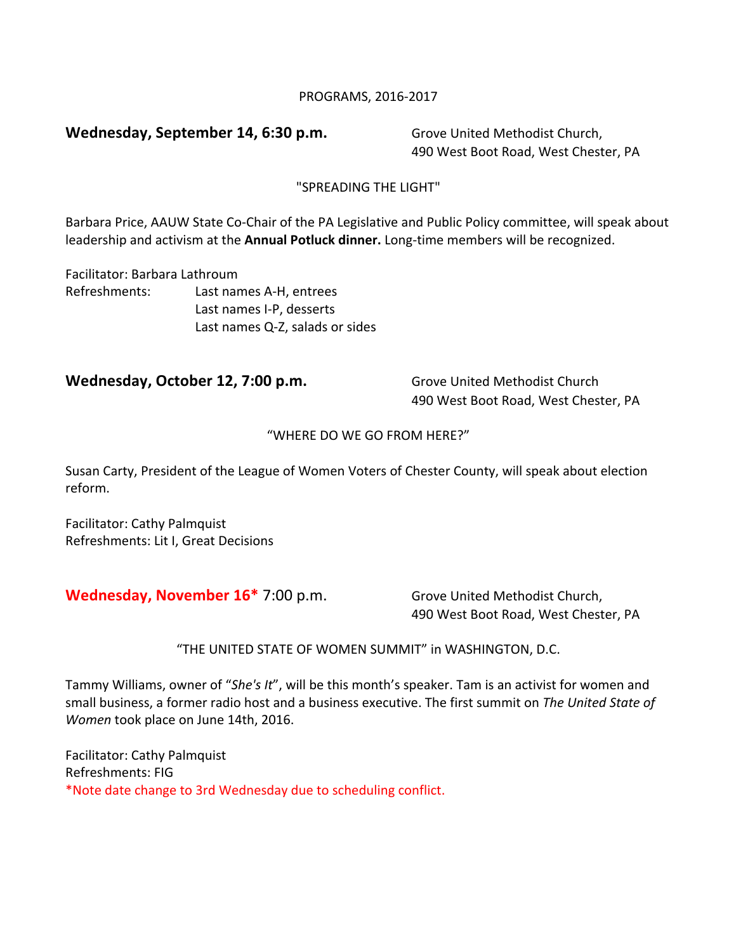## PROGRAMS, 2016-2017

# **Wednesday, September 14, 6:30 p.m.** Grove United Methodist Church,

490 West Boot Road, West Chester, PA

# "SPREADING THE LIGHT"

Barbara Price, AAUW State Co-Chair of the PA Legislative and Public Policy committee, will speak about leadership and activism at the Annual Potluck dinner. Long-time members will be recognized.

Facilitator: Barbara Lathroum Refreshments: Last names A-H, entrees Last names I-P, desserts Last names Q-Z, salads or sides

# **Wednesday, October 12, 7:00 p.m.** Grove United Methodist Church

490 West Boot Road, West Chester, PA

### "WHERE DO WE GO FROM HERE?"

Susan Carty, President of the League of Women Voters of Chester County, will speak about election reform.

Facilitator: Cathy Palmquist Refreshments: Lit I, Great Decisions

# **Wednesday, November 16\*** 7:00 p.m. Grove United Methodist Church,

490 West Boot Road, West Chester, PA

"THE UNITED STATE OF WOMEN SUMMIT" in WASHINGTON, D.C.

Tammy Williams, owner of "She's It", will be this month's speaker. Tam is an activist for women and small business, a former radio host and a business executive. The first summit on *The United State of Women* took place on June 14th, 2016.

Facilitator: Cathy Palmquist Refreshments: FIG \*Note date change to 3rd Wednesday due to scheduling conflict.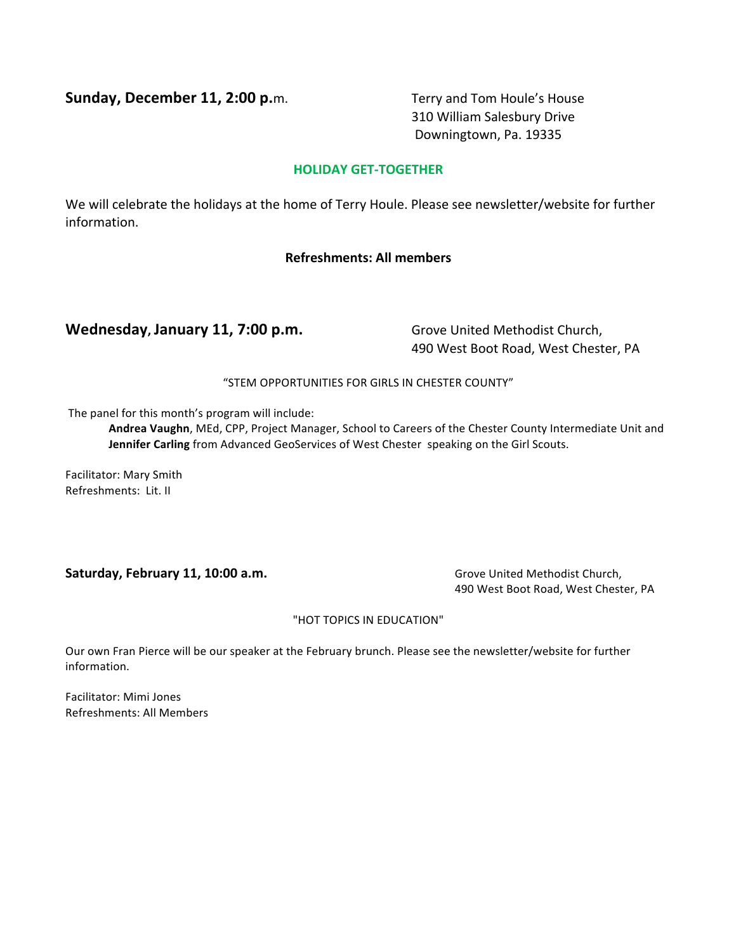**Sunday, December 11, 2:00 p.**m. Terry and Tom Houle's House

310 William Salesbury Drive Downingtown, Pa. 19335

### **HOLIDAY GET-TOGETHER**

We will celebrate the holidays at the home of Terry Houle. Please see newsletter/website for further information.

# **Refreshments: All members**

# **Wednesday, January 11, 7:00 p.m.** Grove United Methodist Church,

490 West Boot Road, West Chester, PA

### "STEM OPPORTUNITIES FOR GIRLS IN CHESTER COUNTY"

The panel for this month's program will include:

Andrea Vaughn, MEd, CPP, Project Manager, School to Careers of the Chester County Intermediate Unit and **Jennifer Carling** from Advanced GeoServices of West Chester speaking on the Girl Scouts.

Facilitator: Mary Smith Refreshments: Lit. II

# **Saturday, February 11, 10:00 a.m. Group Community Channel Church, Church, Church, Church, Church, Church, Church, Church, Church, Church, Church, Church, Church, Church, Church, Church, Church, Church, Church, Church, C**

490 West Boot Road, West Chester, PA

### "HOT TOPICS IN EDUCATION"

Our own Fran Pierce will be our speaker at the February brunch. Please see the newsletter/website for further information.

Facilitator: Mimi Jones Refreshments: All Members